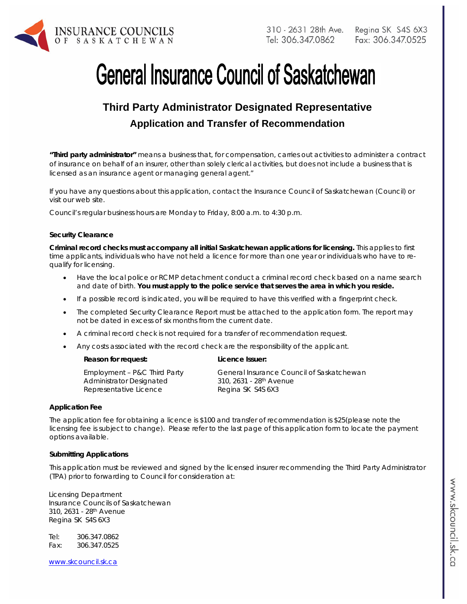

# **General Insurance Council of Saskatchewan**

# **Third Party Administrator Designated Representative Application and Transfer of Recommendation**

*"Third party administrator" means a business that, for compensation, carries out activities to administer a contract of insurance on behalf of an insurer, other than solely clerical activities, but does not include a business that is licensed as an insurance agent or managing general agent."* 

If you have any questions about this application, contact the Insurance Council of Saskatchewan (Council) or visit our web site.

Council's regular business hours are Monday to Friday, 8:00 a.m. to 4:30 p.m.

#### **Security Clearance**

**Criminal record checks must accompany all initial Saskatchewan applications for licensing.** This applies to first time applicants, individuals who have not held a licence for more than one year or individuals who have to requalify for licensing.

- Have the local police or RCMP detachment conduct a criminal record check based on a name search and date of birth. **You must apply to the police service that serves the area in which you reside.**
- If a possible record is indicated, you will be required to have this verified with a fingerprint check.
- The completed Security Clearance Report must be attached to the application form. The report may not be dated in excess of six months from the current date.
- A criminal record check is not required for a transfer of recommendation request.
- Any costs associated with the record check are the responsibility of the applicant.
	- Reason for request: **Licence Issuer:**

| Employment - P&C Third Party | General Insurance Council of Saskatchewan |
|------------------------------|-------------------------------------------|
| Administrator Designated     | 310, 2631 - 28 <sup>th</sup> Avenue       |
| Representative Licence       | Regina SK S4S 6X3                         |

#### **Application Fee**

The application fee for obtaining a licence is \$100 and transfer of recommendation is \$25(please note the licensing fee is subject to change). Please refer to the last page of this application form to locate the payment options available.

#### **Submitting Applications**

This application must be reviewed and signed by the licensed insurer recommending the Third Party Administrator (TPA) prior to forwarding to Council for consideration at:

Licensing Department Insurance Councils of Saskatchewan 310, 2631 - 28th Avenue Regina SK S4S 6X3

Tel: 306.347.0862 Fax: 306.347.0525

www.skcouncil.sk.ca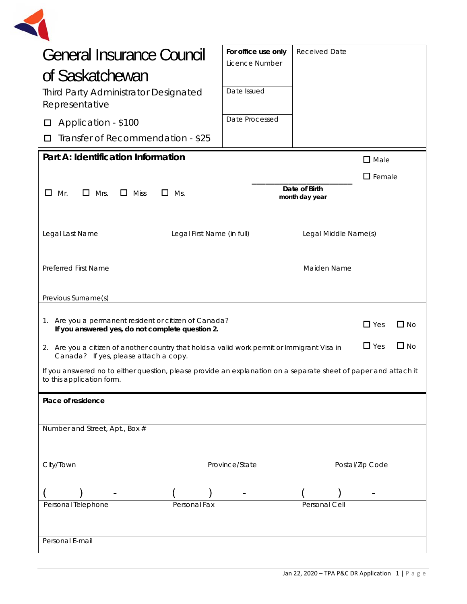

| <b>General Insurance Council</b><br>of Saskatchewan                                                                                          | For office use only<br>Licence Number | <b>Received Date</b>            |                  |              |
|----------------------------------------------------------------------------------------------------------------------------------------------|---------------------------------------|---------------------------------|------------------|--------------|
| <b>Third Party Administrator Designated</b><br>Representative                                                                                | Date Issued                           |                                 |                  |              |
| Application - \$100                                                                                                                          | Date Processed                        |                                 |                  |              |
| Transfer of Recommendation - \$25                                                                                                            |                                       |                                 |                  |              |
| Part A: Identification Information                                                                                                           |                                       |                                 | $\square$ Male   |              |
|                                                                                                                                              |                                       |                                 | $\square$ Female |              |
| $\Box$<br>$\Box$ Mrs.<br>$\Box$ Miss<br>Mr.<br>$\Box$ Ms.                                                                                    |                                       | Date of Birth<br>month day year |                  |              |
| Legal Last Name<br>Legal First Name (in full)                                                                                                |                                       | Legal Middle Name(s)            |                  |              |
| Maiden Name<br>Preferred First Name                                                                                                          |                                       |                                 |                  |              |
| Previous Surname(s)                                                                                                                          |                                       |                                 |                  |              |
| 1. Are you a permanent resident or citizen of Canada?<br>If you answered yes, do not complete question 2.                                    |                                       |                                 | $\Box$ Yes       | $\square$ No |
| 2. Are you a citizen of another country that holds a valid work permit or Immigrant Visa in<br>Canada? If yes, please attach a copy.         |                                       |                                 | $\Box$ Yes       | $\square$ No |
| If you answered no to either question, please provide an explanation on a separate sheet of paper and attach it<br>to this application form. |                                       |                                 |                  |              |
| Place of residence                                                                                                                           |                                       |                                 |                  |              |
| Number and Street, Apt., Box #                                                                                                               |                                       |                                 |                  |              |
|                                                                                                                                              |                                       |                                 |                  |              |
| City/Town                                                                                                                                    | Province/State                        |                                 | Postal/Zip Code  |              |
|                                                                                                                                              |                                       |                                 |                  |              |
| Personal Telephone<br>Personal Fax                                                                                                           |                                       | Personal Cell                   |                  |              |
| Personal E-mail                                                                                                                              |                                       |                                 |                  |              |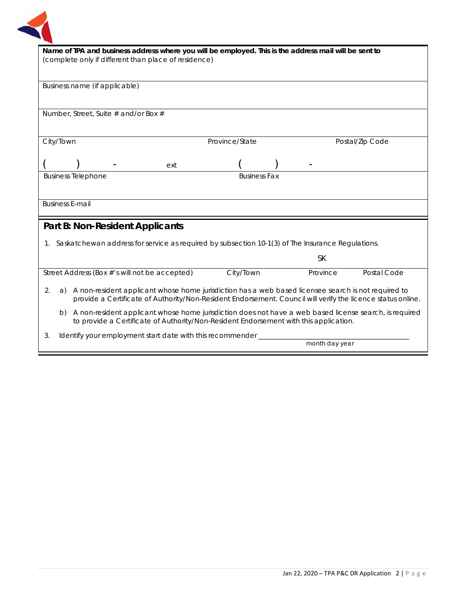

| Name of TPA and business address where you will be employed. This is the address mail will be sent to |                                                      |                                      |                                                                                                     |                     |  |                |                                                                                                             |
|-------------------------------------------------------------------------------------------------------|------------------------------------------------------|--------------------------------------|-----------------------------------------------------------------------------------------------------|---------------------|--|----------------|-------------------------------------------------------------------------------------------------------------|
|                                                                                                       | (complete only if different than place of residence) |                                      |                                                                                                     |                     |  |                |                                                                                                             |
|                                                                                                       |                                                      |                                      |                                                                                                     |                     |  |                |                                                                                                             |
|                                                                                                       |                                                      | Business name (if applicable)        |                                                                                                     |                     |  |                |                                                                                                             |
|                                                                                                       |                                                      |                                      |                                                                                                     |                     |  |                |                                                                                                             |
|                                                                                                       |                                                      | Number, Street, Suite # and/or Box # |                                                                                                     |                     |  |                |                                                                                                             |
|                                                                                                       |                                                      |                                      |                                                                                                     |                     |  |                |                                                                                                             |
| City/Town                                                                                             |                                                      |                                      |                                                                                                     | Province/State      |  |                | Postal/Zip Code                                                                                             |
|                                                                                                       |                                                      |                                      |                                                                                                     |                     |  |                |                                                                                                             |
|                                                                                                       |                                                      |                                      | ext                                                                                                 |                     |  |                |                                                                                                             |
|                                                                                                       | <b>Business Telephone</b>                            |                                      |                                                                                                     | <b>Business Fax</b> |  |                |                                                                                                             |
|                                                                                                       |                                                      |                                      |                                                                                                     |                     |  |                |                                                                                                             |
| <b>Business E-mail</b>                                                                                |                                                      |                                      |                                                                                                     |                     |  |                |                                                                                                             |
|                                                                                                       |                                                      |                                      |                                                                                                     |                     |  |                |                                                                                                             |
|                                                                                                       |                                                      |                                      | Part B: Non-Resident Applicants                                                                     |                     |  |                |                                                                                                             |
|                                                                                                       |                                                      |                                      | 1. Saskatchewan address for service as required by subsection 10-1(3) of The Insurance Regulations. |                     |  |                |                                                                                                             |
|                                                                                                       |                                                      |                                      |                                                                                                     |                     |  | <b>SK</b>      |                                                                                                             |
|                                                                                                       |                                                      |                                      | Street Address (Box #'s will not be accepted)                                                       | City/Town           |  | Province       | Postal Code                                                                                                 |
|                                                                                                       |                                                      |                                      |                                                                                                     |                     |  |                |                                                                                                             |
| 2.<br>a)                                                                                              |                                                      |                                      | A non-resident applicant whose home jurisdiction has a web based licensee search is not required to |                     |  |                | provide a Certificate of Authority/Non-Resident Endorsement. Council will verify the licence status online. |
| b)                                                                                                    |                                                      |                                      | to provide a Certificate of Authority/Non-Resident Endorsement with this application.               |                     |  |                | A non-resident applicant whose home jurisdiction does not have a web based license search, is required      |
| 3.                                                                                                    |                                                      |                                      | Identify your employment start date with this recommender                                           |                     |  |                |                                                                                                             |
|                                                                                                       |                                                      |                                      |                                                                                                     |                     |  | month day year |                                                                                                             |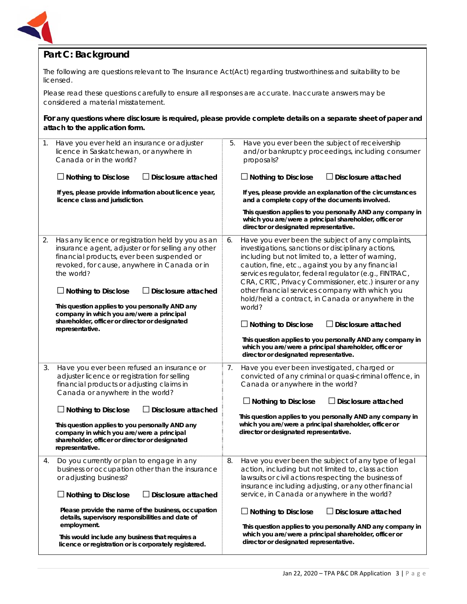

# **Part C: Background**

The following are questions relevant to *The Insurance Act*(Act) regarding trustworthiness and suitability to be licensed.

Please read these questions carefully to ensure all responses are accurate. Inaccurate answers may be considered a material misstatement.

**For any questions where disclosure is required, please provide complete details on a separate sheet of paper and attach to the application form.**

| 1. | Have you ever held an insurance or adjuster<br>licence in Saskatchewan, or anywhere in<br>Canada or in the world?<br>$\Box$ Nothing to Disclose<br>$\Box$ Disclosure attached<br>If yes, please provide information about licence year,<br>licence class and jurisdiction.                                                                                                                                                                    | 5. | Have you ever been the subject of receivership<br>and/or bankruptcy proceedings, including consumer<br>proposals?<br>$\Box$ Nothing to Disclose<br>J Disclosure attached<br>If yes, please provide an explanation of the circumstances<br>and a complete copy of the documents involved.<br>This question applies to you personally AND any company in<br>which you are/were a principal shareholder, officer or<br>director or designated representative.                                                                                                                                                                                                                       |
|----|-----------------------------------------------------------------------------------------------------------------------------------------------------------------------------------------------------------------------------------------------------------------------------------------------------------------------------------------------------------------------------------------------------------------------------------------------|----|----------------------------------------------------------------------------------------------------------------------------------------------------------------------------------------------------------------------------------------------------------------------------------------------------------------------------------------------------------------------------------------------------------------------------------------------------------------------------------------------------------------------------------------------------------------------------------------------------------------------------------------------------------------------------------|
| 2. | Has any licence or registration held by you as an<br>insurance agent, adjuster or for selling any other<br>financial products, ever been suspended or<br>revoked, for cause, anywhere in Canada or in<br>the world?<br>$\Box$ Nothing to Disclose<br>Disclosure attached<br>This question applies to you personally AND any<br>company in which you are/were a principal<br>shareholder, officer or director or designated<br>representative. | 6. | Have you ever been the subject of any complaints,<br>investigations, sanctions or disciplinary actions,<br>including but not limited to, a letter of warning,<br>caution, fine, etc., against you by any financial<br>services regulator, federal regulator (e.g., FINTRAC,<br>CRA, CRTC, Privacy Commissioner, etc.) insurer or any<br>other financial services company with which you<br>hold/held a contract, in Canada or anywhere in the<br>world?<br>$\Box$ Nothing to Disclose<br>J Disclosure attached<br>This question applies to you personally AND any company in<br>which you are/were a principal shareholder, officer or<br>director or designated representative. |
| 3. | Have you ever been refused an insurance or<br>adjuster licence or registration for selling<br>financial products or adjusting claims in<br>Canada or anywhere in the world?<br>$\Box$ Nothing to Disclose<br>Disclosure attached<br>This question applies to you personally AND any<br>company in which you are/were a principal<br>shareholder, officer or director or designated<br>representative.                                         | 7. | Have you ever been investigated, charged or<br>convicted of any criminal or quasi-criminal offence, in<br>Canada or anywhere in the world?<br>$\Box$ Nothing to Disclose<br>$\Box$ Disclosure attached<br>This question applies to you personally AND any company in<br>which you are/were a principal shareholder, officer or<br>director or designated representative.                                                                                                                                                                                                                                                                                                         |
| 4. | Do you currently or plan to engage in any<br>business or occupation other than the insurance<br>or adjusting business?<br>$\Box$ Nothing to Disclose<br>Disclosure attached<br>Please provide the name of the business, occupation<br>details, supervisory responsibilities and date of<br>employment.<br>This would include any business that requires a<br>licence or registration or is corporately registered.                            | 8. | Have you ever been the subject of any type of legal<br>action, including but not limited to, class action<br>lawsuits or civil actions respecting the business of<br>insurance including adjusting, or any other financial<br>service, in Canada or anywhere in the world?<br>$\Box$ Nothing to Disclose<br><b>J</b> Disclosure attached<br>This question applies to you personally AND any company in<br>which you are/were a principal shareholder, officer or<br>director or designated representative.                                                                                                                                                                       |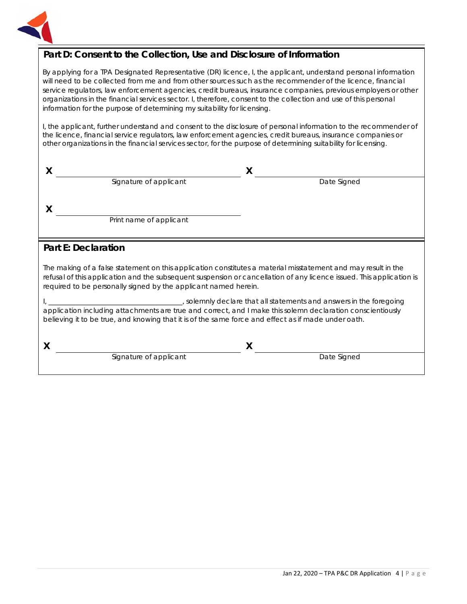

## **Part D: Consent to the Collection, Use and Disclosure of Information**

By applying for a TPA Designated Representative (DR) licence, I, the applicant, understand personal information will need to be collected from me and from other sources such as the recommender of the licence, financial service regulators, law enforcement agencies, credit bureaus, insurance companies, previous employers or other organizations in the financial services sector. I, therefore, consent to the collection and use of this personal information for the purpose of determining my suitability for licensing.

I, the applicant, further understand and consent to the disclosure of personal information to the recommender of the licence, financial service regulators, law enforcement agencies, credit bureaus, insurance companies or other organizations in the financial services sector, for the purpose of determining suitability for licensing.

|                         | Χ           |  |
|-------------------------|-------------|--|
| Signature of applicant  | Date Signed |  |
|                         |             |  |
| Print name of applicant |             |  |
|                         |             |  |

### **Part E: Declaration**

The making of a false statement on this application constitutes a material misstatement and may result in the refusal of this application and the subsequent suspension or cancellation of any licence issued. This application is required to be personally signed by the applicant named herein.

I, \_\_\_\_\_\_\_\_\_\_\_\_\_\_\_\_\_\_\_\_\_\_\_\_\_\_\_\_\_\_\_\_\_\_\_\_\_\_\_, solemnly declare that all statements and answers in the foregoing application including attachments are true and correct, and I make this solemn declaration conscientiously believing it to be true, and knowing that it is of the same force and effect as if made under oath.

**X X** Signature of applicant Date Signed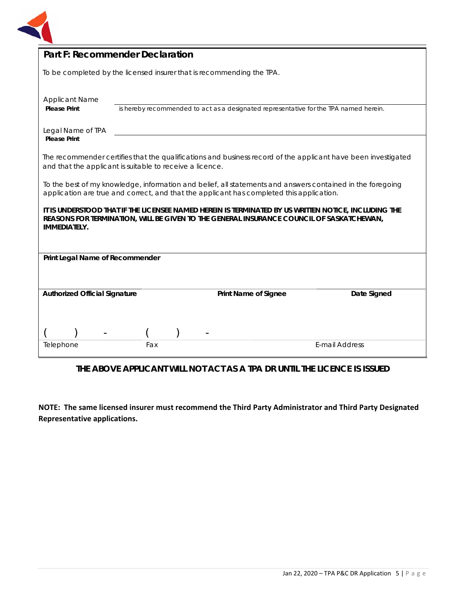

| <b>Part F: Recommender Declaration</b>                                                                                                                                                                                  |     |  |                                                                                                                                                                                                        |                                                                                                               |  |
|-------------------------------------------------------------------------------------------------------------------------------------------------------------------------------------------------------------------------|-----|--|--------------------------------------------------------------------------------------------------------------------------------------------------------------------------------------------------------|---------------------------------------------------------------------------------------------------------------|--|
| To be completed by the licensed insurer that is recommending the TPA.                                                                                                                                                   |     |  |                                                                                                                                                                                                        |                                                                                                               |  |
| <b>Applicant Name</b><br><b>Please Print</b>                                                                                                                                                                            |     |  | is hereby recommended to act as a designated representative for the TPA named herein.                                                                                                                  |                                                                                                               |  |
| Legal Name of TPA<br><b>Please Print</b>                                                                                                                                                                                |     |  |                                                                                                                                                                                                        |                                                                                                               |  |
| and that the applicant is suitable to receive a licence.                                                                                                                                                                |     |  |                                                                                                                                                                                                        | The recommender certifies that the qualifications and business record of the applicant have been investigated |  |
|                                                                                                                                                                                                                         |     |  | To the best of my knowledge, information and belief, all statements and answers contained in the foregoing<br>application are true and correct, and that the applicant has completed this application. |                                                                                                               |  |
| IT IS UNDERSTOOD THAT IF THE LICENSEE NAMED HEREIN IS TERMINATED BY US WRITTEN NOTICE, INCLUDING THE<br>REASONS FOR TERMINATION, WILL BE GIVEN TO THE GENERAL INSURANCE COUNCIL OF SASKATCHEWAN,<br><b>IMMEDIATELY.</b> |     |  |                                                                                                                                                                                                        |                                                                                                               |  |
| Print Legal Name of Recommender                                                                                                                                                                                         |     |  |                                                                                                                                                                                                        |                                                                                                               |  |
|                                                                                                                                                                                                                         |     |  |                                                                                                                                                                                                        |                                                                                                               |  |
| Date Signed<br><b>Authorized Official Signature</b><br><b>Print Name of Signee</b>                                                                                                                                      |     |  |                                                                                                                                                                                                        |                                                                                                               |  |
|                                                                                                                                                                                                                         |     |  |                                                                                                                                                                                                        |                                                                                                               |  |
|                                                                                                                                                                                                                         |     |  |                                                                                                                                                                                                        |                                                                                                               |  |
| Telephone                                                                                                                                                                                                               | Fax |  |                                                                                                                                                                                                        | E-mail Address                                                                                                |  |

# **THE ABOVE APPLICANT WILL NOT ACT AS A TPA DR UNTIL THE LICENCE IS ISSUED**

**NOTE: The same licensed insurer must recommend the Third Party Administrator and Third Party Designated Representative applications.**